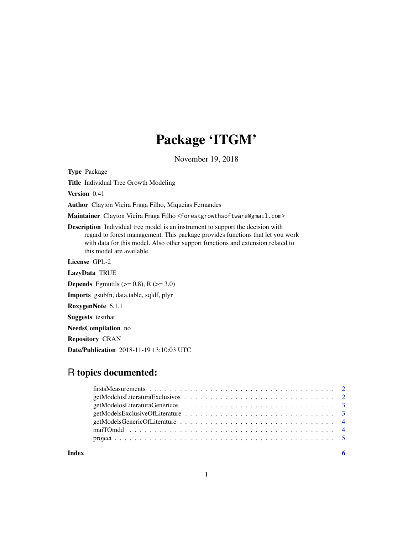## Package 'ITGM'

November 19, 2018

Type Package

Title Individual Tree Growth Modeling

Version 0.41

Author Clayton Vieira Fraga Filho, Miqueias Fernandes

Maintainer Clayton Vieira Fraga Filho <forestgrowthsoftware@gmail.com>

Description Individual tree model is an instrument to support the decision with regard to forest management. This package provides functions that let you work with data for this model. Also other support functions and extension related to this model are available.

License GPL-2

LazyData TRUE

**Depends** Fgmutils ( $> = 0.8$ ), R ( $> = 3.0$ )

Imports gsubfn, data.table, sqldf, plyr

RoxygenNote 6.1.1

Suggests testthat

NeedsCompilation no

Repository CRAN

Date/Publication 2018-11-19 13:10:03 UTC

### R topics documented:

**Index** [6](#page-5-0) **6**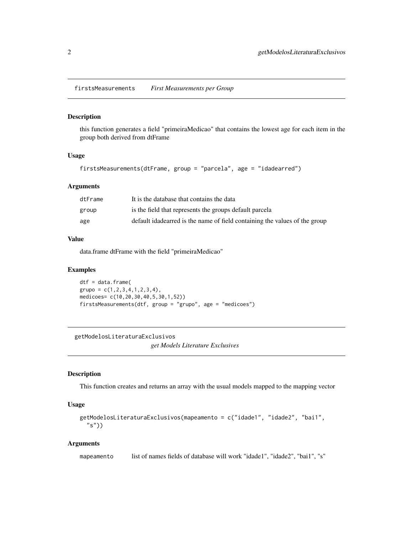#### <span id="page-1-0"></span>Description

this function generates a field "primeiraMedicao" that contains the lowest age for each item in the group both derived from dtFrame

#### Usage

firstsMeasurements(dtFrame, group = "parcela", age = "idadearred")

#### Arguments

| dtFrame | It is the database that contains the data                                   |
|---------|-----------------------------------------------------------------------------|
| group   | is the field that represents the groups default parcela                     |
| age     | default idade arred is the name of field containing the values of the group |

#### Value

data.frame dtFrame with the field "primeiraMedicao"

#### Examples

dtf = data.frame(  $grupo = c(1, 2, 3, 4, 1, 2, 3, 4),$ medicoes= c(10,20,30,40,5,30,1,52)) firstsMeasurements(dtf, group = "grupo", age = "medicoes")

getModelosLiteraturaExclusivos

*get Models Literature Exclusives*

#### Description

This function creates and returns an array with the usual models mapped to the mapping vector

#### Usage

```
getModelosLiteraturaExclusivos(mapeamento = c("idade1", "idade2", "bai1",
 "s"))
```
#### Arguments

mapeamento list of names fields of database will work "idade1", "idade2", "bai1", "s"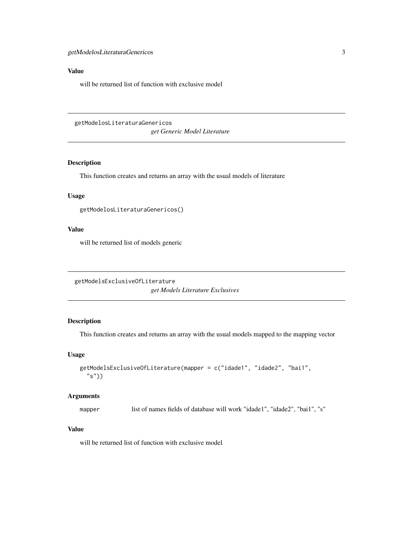#### <span id="page-2-0"></span>Value

will be returned list of function with exclusive model

getModelosLiteraturaGenericos *get Generic Model Literature*

#### Description

This function creates and returns an array with the usual models of literature

#### Usage

getModelosLiteraturaGenericos()

#### Value

will be returned list of models generic

getModelsExclusiveOfLiterature *get Models Literature Exclusives*

#### Description

This function creates and returns an array with the usual models mapped to the mapping vector

#### Usage

```
getModelsExclusiveOfLiterature(mapper = c("idade1", "idade2", "bai1",
 "s")
```
#### Arguments

mapper list of names fields of database will work "idade1", "idade2", "bai1", "s"

#### Value

will be returned list of function with exclusive model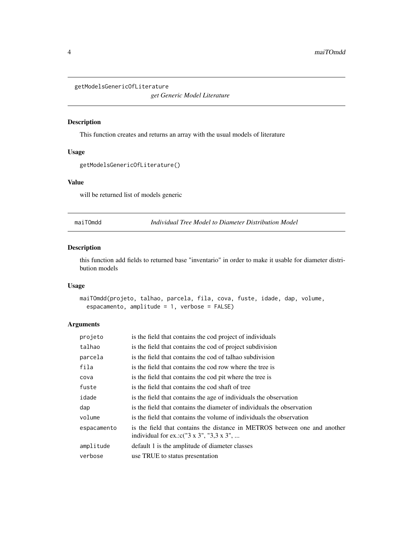```
getModelsGenericOfLiterature
```
*get Generic Model Literature*

#### Description

This function creates and returns an array with the usual models of literature

#### Usage

```
getModelsGenericOfLiterature()
```
#### Value

will be returned list of models generic

maiTOmdd *Individual Tree Model to Diameter Distribution Model*

#### Description

this function add fields to returned base "inventario" in order to make it usable for diameter distribution models

#### Usage

```
maiTOmdd(projeto, talhao, parcela, fila, cova, fuste, idade, dap, volume,
 espacamento, amplitude = 1, verbose = FALSE)
```
#### Arguments

| projeto     | is the field that contains the cod project of individuals                                                                  |
|-------------|----------------------------------------------------------------------------------------------------------------------------|
| talhao      | is the field that contains the cod of project subdivision                                                                  |
| parcela     | is the field that contains the cod of talhao subdivision                                                                   |
| fila        | is the field that contains the cod row where the tree is                                                                   |
| cova        | is the field that contains the cod pit where the tree is                                                                   |
| fuste       | is the field that contains the cod shaft of tree                                                                           |
| idade       | is the field that contains the age of individuals the observation                                                          |
| dap         | is the field that contains the diameter of individuals the observation                                                     |
| volume      | is the field that contains the volume of individuals the observation                                                       |
| espacamento | is the field that contains the distance in METROS between one and another<br>individual for ex.: $c("3 x 3", "3, 3 x 3", $ |
| amplitude   | default 1 is the amplitude of diameter classes                                                                             |
| verbose     | use TRUE to status presentation                                                                                            |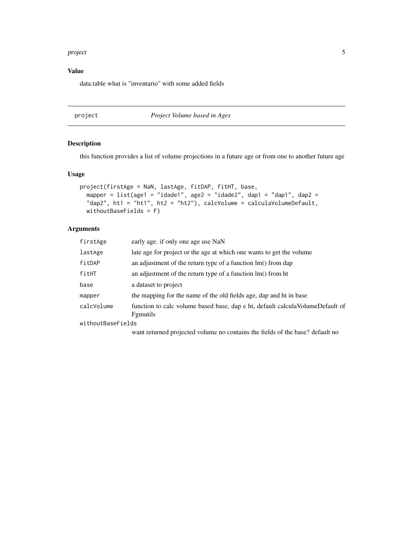#### <span id="page-4-0"></span>project 5 and 5 and 5 and 5 and 5 and 5 and 5 and 5 and 5 and 5 and 5 and 5 and 5 and 5 and 5 and 5 and 5 and 5

#### Value

data.table what is "inventario" with some added fields

#### project *Project Volume based in Ages*

#### Description

this function provides a list of volume projections in a future age or from one to another future age

#### Usage

```
project(firstAge = NaN, lastAge, fitDAP, fitHT, base,
mapper = list(age1 = "idade1", age2 = "idade2", dep1 = "dap1", dep2 ="dap2", ht1 = "ht1", ht2 = "ht2"), calcVolume = calculaVolumeDefault,
withoutBaseFields = F)
```
#### Arguments

| firstAge          | early age. if only one age use NaN                                                                  |
|-------------------|-----------------------------------------------------------------------------------------------------|
| lastAge           | late age for project or the age at which one wants to get the volume                                |
| fitDAP            | an adjustment of the return type of a function lm() from dap                                        |
| fitHT             | an adjustment of the return type of a function $\text{Im}()$ from ht                                |
| base              | a dataset to project                                                                                |
| mapper            | the mapping for the name of the old fields age, dap and ht in base                                  |
| calcVolume        | function to calc volume based base, dap e ht, default calcula Volume Default of<br><b>F</b> gmutils |
| withoutBaseFields |                                                                                                     |
|                   | want returned projected volume no contains the fields of the base? default no                       |